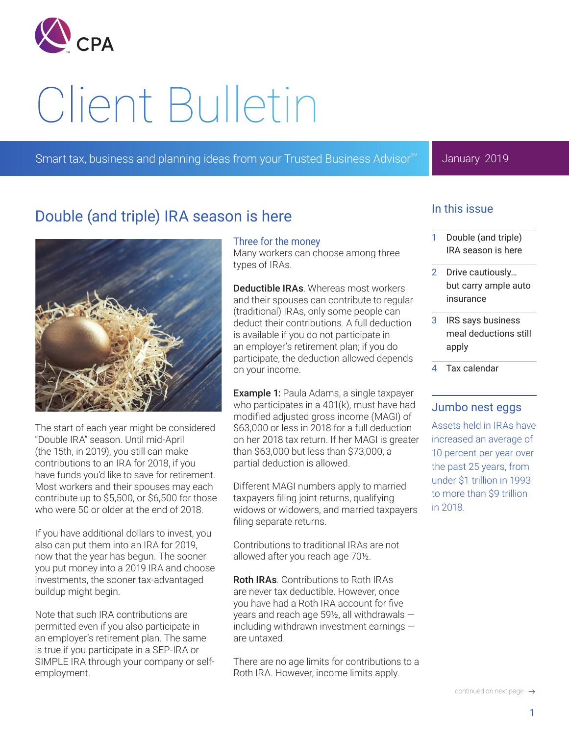

# Client Bulletin

Smart tax, business and planning ideas from your Trusted Business Advisor<sup>®</sup>

### January 2019

# Double (and triple) IRA season is here



The start of each year might be considered "Double IRA" season. Until mid-April (the 15th, in 2019), you still can make contributions to an IRA for 2018, if you have funds you'd like to save for retirement. Most workers and their spouses may each contribute up to \$5,500, or \$6,500 for those who were 50 or older at the end of 2018.

If you have additional dollars to invest, you also can put them into an IRA for 2019, now that the year has begun. The sooner you put money into a 2019 IRA and choose investments, the sooner tax-advantaged buildup might begin.

Note that such IRA contributions are permitted even if you also participate in an employer's retirement plan. The same is true if you participate in a SEP-IRA or SIMPLE IRA through your company or selfemployment.

#### Three for the money

Many workers can choose among three types of IRAs.

Deductible IRAs. Whereas most workers and their spouses can contribute to regular (traditional) IRAs, only some people can deduct their contributions. A full deduction is available if you do not participate in an employer's retirement plan; if you do participate, the deduction allowed depends on your income.

**Example 1: Paula Adams, a single taxpayer** who participates in a 401(k), must have had modified adjusted gross income (MAGI) of \$63,000 or less in 2018 for a full deduction on her 2018 tax return. If her MAGI is greater than \$63,000 but less than \$73,000, a partial deduction is allowed.

Different MAGI numbers apply to married taxpayers filing joint returns, qualifying widows or widowers, and married taxpayers filing separate returns.

Contributions to traditional IRAs are not allowed after you reach age 70½.

Roth IRAs. Contributions to Roth IRAs are never tax deductible. However, once you have had a Roth IRA account for five years and reach age 59½, all withdrawals ― including withdrawn investment earnings ― are untaxed.

There are no age limits for contributions to a Roth IRA. However, income limits apply.

## In this issue

- 1 Double (and triple) IRA season is here
- Drive cautiously... [but carry ample auto](#page-1-0)  [insurance](#page-1-0)
- 3 [IRS says business](#page-2-0)  [meal deductions still](#page-2-0)  [apply](#page-2-0)
- 4 [Tax calendar](#page-3-0)

## Jumbo nest eggs

Assets held in IRAs have increased an average of 10 percent per year over the past 25 years, from under \$1 trillion in 1993 to more than \$9 trillion in 2018.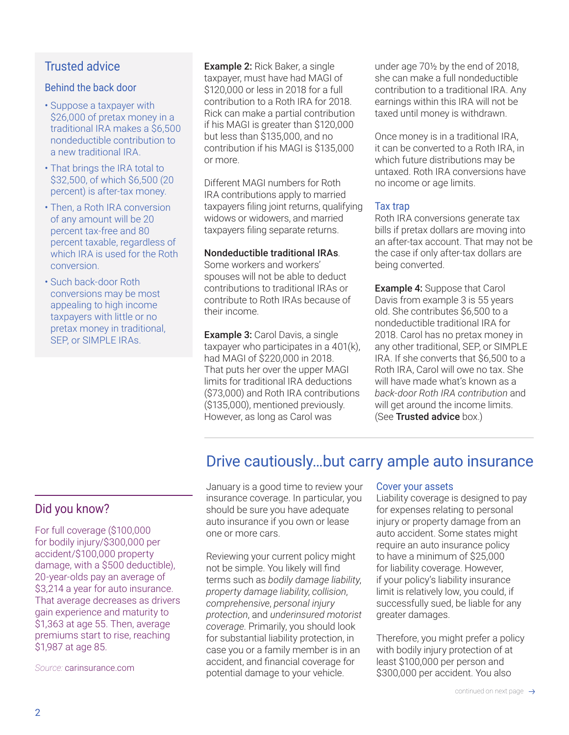## <span id="page-1-0"></span>Trusted advice

#### Behind the back door

- Suppose a taxpayer with \$26,000 of pretax money in a traditional IRA makes a \$6,500 nondeductible contribution to a new traditional IRA.
- That brings the IRA total to \$32,500, of which \$6,500 (20 percent) is after-tax money.
- Then, a Roth IRA conversion of any amount will be 20 percent tax-free and 80 percent taxable, regardless of which IRA is used for the Roth conversion.
- Such back-door Roth conversions may be most appealing to high income taxpayers with little or no pretax money in traditional, SEP, or SIMPLE IRAs.

Example 2: Rick Baker, a single taxpayer, must have had MAGI of \$120,000 or less in 2018 for a full contribution to a Roth IRA for 2018. Rick can make a partial contribution if his MAGI is greater than \$120,000 but less than \$135,000, and no contribution if his MAGI is \$135,000 or more.

Different MAGI numbers for Roth IRA contributions apply to married taxpayers filing joint returns, qualifying widows or widowers, and married taxpayers filing separate returns.

#### Nondeductible traditional IRAs.

Some workers and workers' spouses will not be able to deduct contributions to traditional IRAs or contribute to Roth IRAs because of their income.

**Example 3: Carol Davis, a single** taxpayer who participates in a 401(k), had MAGI of \$220,000 in 2018. That puts her over the upper MAGI limits for traditional IRA deductions (\$73,000) and Roth IRA contributions (\$135,000), mentioned previously. However, as long as Carol was

under age 70½ by the end of 2018, she can make a full nondeductible contribution to a traditional IRA. Any earnings within this IRA will not be taxed until money is withdrawn.

Once money is in a traditional IRA, it can be converted to a Roth IRA, in which future distributions may be untaxed. Roth IRA conversions have no income or age limits.

#### Tax trap

Roth IRA conversions generate tax bills if pretax dollars are moving into an after-tax account. That may not be the case if only after-tax dollars are being converted.

**Example 4: Suppose that Carol** Davis from example 3 is 55 years old. She contributes \$6,500 to a nondeductible traditional IRA for 2018. Carol has no pretax money in any other traditional, SEP, or SIMPLE IRA. If she converts that \$6,500 to a Roth IRA, Carol will owe no tax. She will have made what's known as a *back-door Roth IRA contribution* and will get around the income limits. (See Trusted advice box.)

# Drive cautiously…but carry ample auto insurance

## Did you know?

For full coverage (\$100,000 for bodily injury/\$300,000 per accident/\$100,000 property damage, with a \$500 deductible), 20-year-olds pay an average of \$3,214 a year for auto insurance. That average decreases as drivers gain experience and maturity to \$1,363 at age 55. Then, average premiums start to rise, reaching \$1,987 at age 85.

*Source:* carinsurance.com

January is a good time to review your insurance coverage. In particular, you should be sure you have adequate auto insurance if you own or lease one or more cars.

Reviewing your current policy might not be simple. You likely will find terms such as *bodily damage liability*, *property damage liability*, *collision*, *comprehensive*, *personal injury protection*, and *underinsured motorist coverage*. Primarily, you should look for substantial liability protection, in case you or a family member is in an accident, and financial coverage for potential damage to your vehicle.

#### Cover your assets

Liability coverage is designed to pay for expenses relating to personal injury or property damage from an auto accident. Some states might require an auto insurance policy to have a minimum of \$25,000 for liability coverage. However, if your policy's liability insurance limit is relatively low, you could, if successfully sued, be liable for any greater damages.

Therefore, you might prefer a policy with bodily injury protection of at least \$100,000 per person and \$300,000 per accident. You also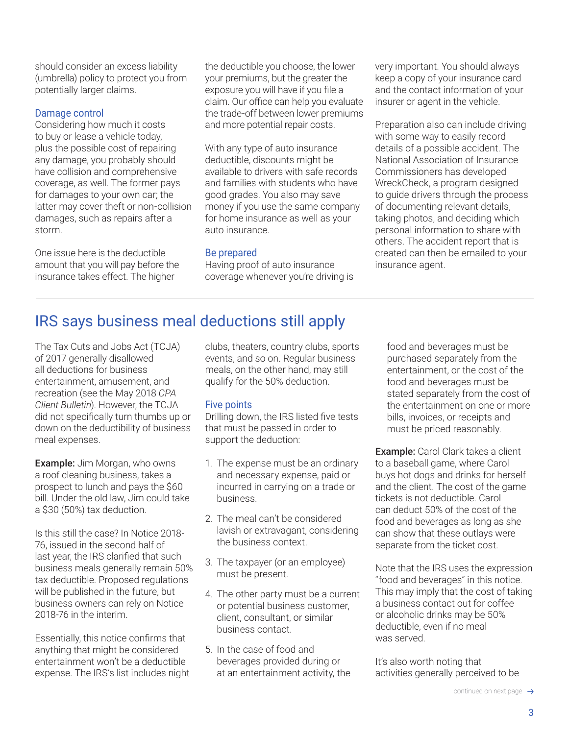<span id="page-2-0"></span>should consider an excess liability (umbrella) policy to protect you from potentially larger claims.

#### Damage control

Considering how much it costs to buy or lease a vehicle today, plus the possible cost of repairing any damage, you probably should have collision and comprehensive coverage, as well. The former pays for damages to your own car; the latter may cover theft or non-collision damages, such as repairs after a storm.

One issue here is the deductible amount that you will pay before the insurance takes effect. The higher

the deductible you choose, the lower your premiums, but the greater the exposure you will have if you file a claim. Our office can help you evaluate the trade-off between lower premiums and more potential repair costs.

With any type of auto insurance deductible, discounts might be available to drivers with safe records and families with students who have good grades. You also may save money if you use the same company for home insurance as well as your auto insurance.

#### Be prepared

Having proof of auto insurance coverage whenever you're driving is very important. You should always keep a copy of your insurance card and the contact information of your insurer or agent in the vehicle.

Preparation also can include driving with some way to easily record details of a possible accident. The National Association of Insurance Commissioners has developed WreckCheck, a program designed to guide drivers through the process of documenting relevant details, taking photos, and deciding which personal information to share with others. The accident report that is created can then be emailed to your insurance agent.

# IRS says business meal deductions still apply

The Tax Cuts and Jobs Act (TCJA) of 2017 generally disallowed all deductions for business entertainment, amusement, and recreation (see the May 2018 *CPA Client Bulletin*). However, the TCJA did not specifically turn thumbs up or down on the deductibility of business meal expenses.

**Example:** Jim Morgan, who owns a roof cleaning business, takes a prospect to lunch and pays the \$60 bill. Under the old law, Jim could take a \$30 (50%) tax deduction.

Is this still the case? In Notice 2018- 76, issued in the second half of last year, the IRS clarified that such business meals generally remain 50% tax deductible. Proposed regulations will be published in the future, but business owners can rely on Notice 2018-76 in the interim.

Essentially, this notice confirms that anything that might be considered entertainment won't be a deductible expense. The IRS's list includes night clubs, theaters, country clubs, sports events, and so on. Regular business meals, on the other hand, may still qualify for the 50% deduction.

#### Five points

Drilling down, the IRS listed five tests that must be passed in order to support the deduction:

- 1. The expense must be an ordinary and necessary expense, paid or incurred in carrying on a trade or business.
- 2. The meal can't be considered lavish or extravagant, considering the business context.
- 3. The taxpayer (or an employee) must be present.
- 4. The other party must be a current or potential business customer, client, consultant, or similar business contact.
- 5. In the case of food and beverages provided during or at an entertainment activity, the

food and beverages must be purchased separately from the entertainment, or the cost of the food and beverages must be stated separately from the cost of the entertainment on one or more bills, invoices, or receipts and must be priced reasonably.

**Example:** Carol Clark takes a client to a baseball game, where Carol buys hot dogs and drinks for herself and the client. The cost of the game tickets is not deductible. Carol can deduct 50% of the cost of the food and beverages as long as she can show that these outlays were separate from the ticket cost.

Note that the IRS uses the expression "food and beverages" in this notice. This may imply that the cost of taking a business contact out for coffee or alcoholic drinks may be 50% deductible, even if no meal was served.

It's also worth noting that activities generally perceived to be